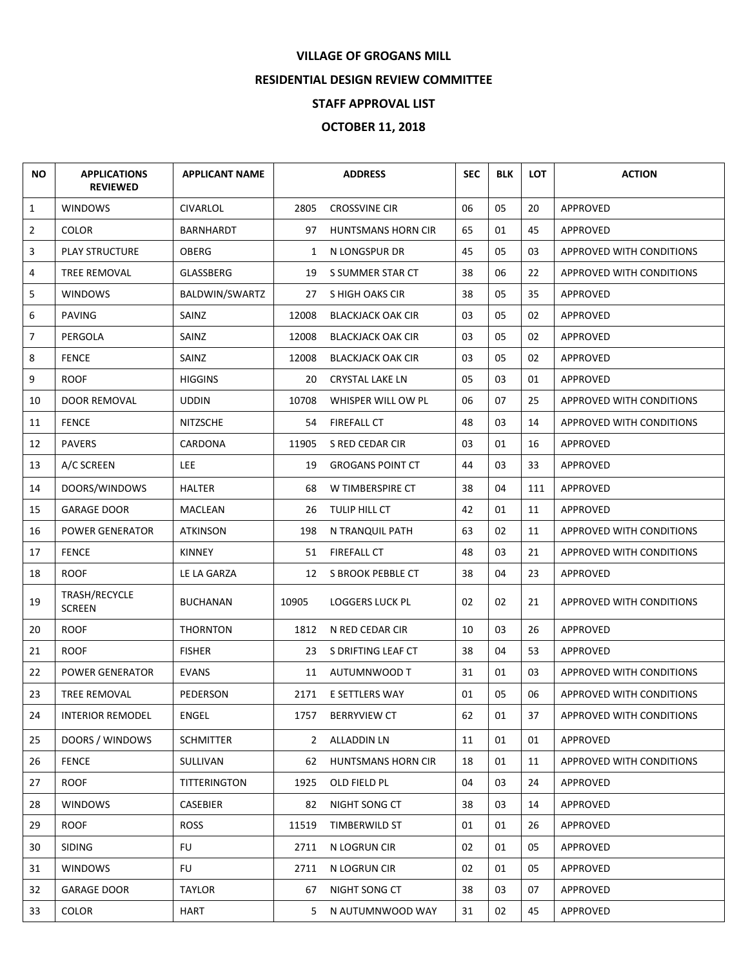## **VILLAGE OF GROGANS MILL**

## **RESIDENTIAL DESIGN REVIEW COMMITTEE**

## **STAFF APPROVAL LIST**

## **OCTOBER 11, 2018**

| <b>NO</b>      | <b>APPLICATIONS</b><br><b>REVIEWED</b> | <b>APPLICANT NAME</b> |                | <b>ADDRESS</b>            | <b>SEC</b> | <b>BLK</b> | <b>LOT</b> | <b>ACTION</b>                   |
|----------------|----------------------------------------|-----------------------|----------------|---------------------------|------------|------------|------------|---------------------------------|
| $\mathbf{1}$   | <b>WINDOWS</b>                         | <b>CIVARLOL</b>       | 2805           | <b>CROSSVINE CIR</b>      | 06         | 05         | 20         | APPROVED                        |
| $\overline{2}$ | <b>COLOR</b>                           | BARNHARDT             | 97             | <b>HUNTSMANS HORN CIR</b> | 65         | 01         | 45         | APPROVED                        |
| 3              | <b>PLAY STRUCTURE</b>                  | OBERG                 | 1              | N LONGSPUR DR             | 45         | 05         | 03         | <b>APPROVED WITH CONDITIONS</b> |
| 4              | TREE REMOVAL                           | GLASSBERG             | 19             | S SUMMER STAR CT          | 38         | 06         | 22         | APPROVED WITH CONDITIONS        |
| 5              | <b>WINDOWS</b>                         | BALDWIN/SWARTZ        | 27             | S HIGH OAKS CIR           | 38         | 05         | 35         | APPROVED                        |
| 6              | <b>PAVING</b>                          | SAINZ                 | 12008          | <b>BLACKJACK OAK CIR</b>  | 03         | 05         | 02         | <b>APPROVED</b>                 |
| $\overline{7}$ | PERGOLA                                | SAINZ                 | 12008          | <b>BLACKJACK OAK CIR</b>  | 03         | 05         | 02         | APPROVED                        |
| 8              | <b>FENCE</b>                           | SAINZ                 | 12008          | <b>BLACKJACK OAK CIR</b>  | 03         | 05         | 02         | APPROVED                        |
| 9              | <b>ROOF</b>                            | <b>HIGGINS</b>        | 20             | <b>CRYSTAL LAKE LN</b>    | 05         | 03         | 01         | APPROVED                        |
| 10             | DOOR REMOVAL                           | <b>UDDIN</b>          | 10708          | WHISPER WILL OW PL        | 06         | 07         | 25         | APPROVED WITH CONDITIONS        |
| 11             | <b>FENCE</b>                           | <b>NITZSCHE</b>       | 54             | <b>FIREFALL CT</b>        | 48         | 03         | 14         | APPROVED WITH CONDITIONS        |
| 12             | <b>PAVERS</b>                          | CARDONA               | 11905          | S RED CEDAR CIR           | 03         | 01         | 16         | APPROVED                        |
| 13             | A/C SCREEN                             | LEE.                  | 19             | <b>GROGANS POINT CT</b>   | 44         | 03         | 33         | APPROVED                        |
| 14             | DOORS/WINDOWS                          | <b>HALTER</b>         | 68             | W TIMBERSPIRE CT          | 38         | 04         | 111        | APPROVED                        |
| 15             | <b>GARAGE DOOR</b>                     | MACLEAN               | 26             | TULIP HILL CT             | 42         | 01         | 11         | APPROVED                        |
| 16             | <b>POWER GENERATOR</b>                 | <b>ATKINSON</b>       | 198            | N TRANQUIL PATH           | 63         | 02         | 11         | APPROVED WITH CONDITIONS        |
| 17             | <b>FENCE</b>                           | <b>KINNEY</b>         | 51             | <b>FIREFALL CT</b>        | 48         | 03         | 21         | APPROVED WITH CONDITIONS        |
| 18             | <b>ROOF</b>                            | LE LA GARZA           | 12             | S BROOK PEBBLE CT         | 38         | 04         | 23         | APPROVED                        |
| 19             | TRASH/RECYCLE<br><b>SCREEN</b>         | <b>BUCHANAN</b>       | 10905          | <b>LOGGERS LUCK PL</b>    | 02         | 02         | 21         | <b>APPROVED WITH CONDITIONS</b> |
| 20             | <b>ROOF</b>                            | <b>THORNTON</b>       | 1812           | N RED CEDAR CIR           | 10         | 03         | 26         | APPROVED                        |
| 21             | <b>ROOF</b>                            | <b>FISHER</b>         | 23             | S DRIFTING LEAF CT        | 38         | 04         | 53         | APPROVED                        |
| 22             | <b>POWER GENERATOR</b>                 | <b>EVANS</b>          | 11             | AUTUMNWOOD T              | 31         | 01         | 03         | APPROVED WITH CONDITIONS        |
| 23             | TREE REMOVAL                           | <b>PEDERSON</b>       | 2171           | E SETTLERS WAY            | 01         | 05         | 06         | <b>APPROVED WITH CONDITIONS</b> |
| 24             | <b>INTERIOR REMODEL</b>                | ENGEL                 | 1757           | <b>BERRYVIEW CT</b>       | 62         | 01         | 37         | APPROVED WITH CONDITIONS        |
| 25             | DOORS / WINDOWS                        | <b>SCHMITTER</b>      | $\overline{2}$ | <b>ALLADDIN LN</b>        | 11         | 01         | 01         | APPROVED                        |
| 26             | <b>FENCE</b>                           | SULLIVAN              | 62             | HUNTSMANS HORN CIR        | 18         | 01         | 11         | <b>APPROVED WITH CONDITIONS</b> |
| 27             | ROOF                                   | TITTERINGTON          | 1925           | OLD FIELD PL              | 04         | 03         | 24         | <b>APPROVED</b>                 |
| 28             | <b>WINDOWS</b>                         | CASEBIER              | 82             | NIGHT SONG CT             | 38         | 03         | 14         | APPROVED                        |
| 29             | ROOF                                   | <b>ROSS</b>           | 11519          | <b>TIMBERWILD ST</b>      | 01         | 01         | 26         | APPROVED                        |
| 30             | <b>SIDING</b>                          | FU                    | 2711           | N LOGRUN CIR              | 02         | 01         | 05         | APPROVED                        |
| 31             | <b>WINDOWS</b>                         | <b>FU</b>             | 2711           | N LOGRUN CIR              | 02         | 01         | 05         | APPROVED                        |
| 32             | <b>GARAGE DOOR</b>                     | <b>TAYLOR</b>         | 67             | NIGHT SONG CT             | 38         | 03         | 07         | APPROVED                        |
| 33             | <b>COLOR</b>                           | HART                  | 5              | N AUTUMNWOOD WAY          | 31         | 02         | 45         | APPROVED                        |